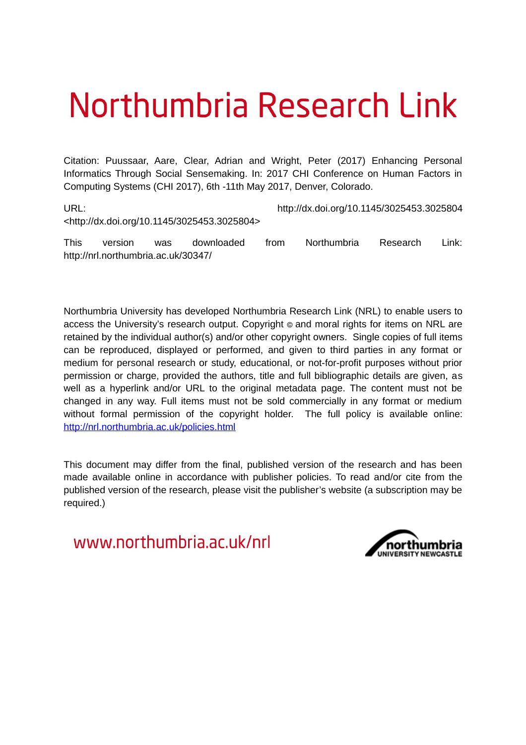# Northumbria Research Link

Citation: Puussaar, Aare, Clear, Adrian and Wright, Peter (2017) Enhancing Personal Informatics Through Social Sensemaking. In: 2017 CHI Conference on Human Factors in Computing Systems (CHI 2017), 6th -11th May 2017, Denver, Colorado.

URL: http://dx.doi.org/10.1145/3025453.3025804 <http://dx.doi.org/10.1145/3025453.3025804>

This version was downloaded from Northumbria Research Link: http://nrl.northumbria.ac.uk/30347/

Northumbria University has developed Northumbria Research Link (NRL) to enable users to access the University's research output. Copyright  $\circ$  and moral rights for items on NRL are retained by the individual author(s) and/or other copyright owners. Single copies of full items can be reproduced, displayed or performed, and given to third parties in any format or medium for personal research or study, educational, or not-for-profit purposes without prior permission or charge, provided the authors, title and full bibliographic details are given, as well as a hyperlink and/or URL to the original metadata page. The content must not be changed in any way. Full items must not be sold commercially in any format or medium without formal permission of the copyright holder. The full policy is available online: <http://nrl.northumbria.ac.uk/policies.html>

This document may differ from the final, published version of the research and has been made available online in accordance with publisher policies. To read and/or cite from the published version of the research, please visit the publisher's website (a subscription may be required.)

www.northumbria.ac.uk/nrl

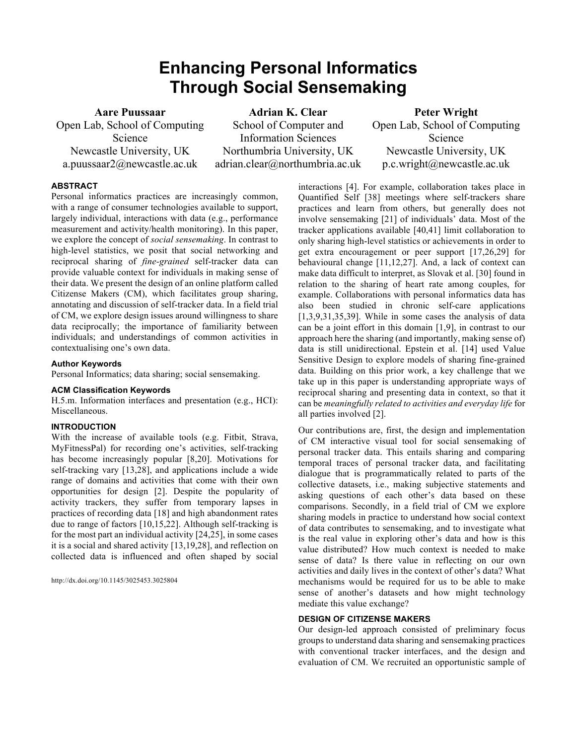# **Enhancing Personal Informatics Through Social Sensemaking**

**Aare Puussaar**  Open Lab, School of Computing Science Newcastle University, UK a.puussaar2@newcastle.ac.uk

**Adrian K. Clear**  School of Computer and Information Sciences Northumbria University, UK adrian.clear@northumbria.ac.uk

**Peter Wright**  Open Lab, School of Computing Science Newcastle University, UK p.c.wright@newcastle.ac.uk

# **ABSTRACT**

Personal informatics practices are increasingly common, with a range of consumer technologies available to support, largely individual, interactions with data (e.g., performance measurement and activity/health monitoring). In this paper, we explore the concept of *social sensemaking*. In contrast to high-level statistics, we posit that social networking and reciprocal sharing of *fine-grained* self-tracker data can provide valuable context for individuals in making sense of their data. We present the design of an online platform called Citizense Makers (CM), which facilitates group sharing, annotating and discussion of self-tracker data. In a field trial of CM, we explore design issues around willingness to share data reciprocally; the importance of familiarity between individuals; and understandings of common activities in contextualising one's own data.

# **Author Keywords**

Personal Informatics; data sharing; social sensemaking.

#### **ACM Classification Keywords**

H.5.m. Information interfaces and presentation (e.g., HCI): Miscellaneous.

# **INTRODUCTION**

With the increase of available tools (e.g. Fitbit, Strava, MyFitnessPal) for recording one's activities, self-tracking has become increasingly popular [8,20]. Motivations for self-tracking vary [13,28], and applications include a wide range of domains and activities that come with their own opportunities for design [2]. Despite the popularity of activity trackers, they suffer from temporary lapses in practices of recording data [18] and high abandonment rates due to range of factors [10,15,22]. Although self-tracking is for the most part an individual activity [24,25], in some cases it is a social and shared activity [13,19,28], and reflection on collected data is influenced and often shaped by social

http://dx.doi.org/10.1145/3025453.3025804

interactions [4]. For example, collaboration takes place in Quantified Self [38] meetings where self-trackers share practices and learn from others, but generally does not involve sensemaking [21] of individuals' data. Most of the tracker applications available [40,41] limit collaboration to only sharing high-level statistics or achievements in order to get extra encouragement or peer support [17,26,29] for behavioural change [11,12,27]. And, a lack of context can make data difficult to interpret, as Slovak et al. [30] found in relation to the sharing of heart rate among couples, for example. Collaborations with personal informatics data has also been studied in chronic self-care applications  $[1,3,9,31,35,39]$ . While in some cases the analysis of data can be a joint effort in this domain [1,9], in contrast to our approach here the sharing (and importantly, making sense of) data is still unidirectional. Epstein et al. [14] used Value Sensitive Design to explore models of sharing fine-grained data. Building on this prior work, a key challenge that we take up in this paper is understanding appropriate ways of reciprocal sharing and presenting data in context, so that it can be *meaningfully related to activities and everyday life* for all parties involved [2].

Our contributions are, first, the design and implementation of CM interactive visual tool for social sensemaking of personal tracker data. This entails sharing and comparing temporal traces of personal tracker data, and facilitating dialogue that is programmatically related to parts of the collective datasets, i.e., making subjective statements and asking questions of each other's data based on these comparisons. Secondly, in a field trial of CM we explore sharing models in practice to understand how social context of data contributes to sensemaking, and to investigate what is the real value in exploring other's data and how is this value distributed? How much context is needed to make sense of data? Is there value in reflecting on our own activities and daily lives in the context of other's data? What mechanisms would be required for us to be able to make sense of another's datasets and how might technology mediate this value exchange?

#### **DESIGN OF CITIZENSE MAKERS**

Our design-led approach consisted of preliminary focus groups to understand data sharing and sensemaking practices with conventional tracker interfaces, and the design and evaluation of CM. We recruited an opportunistic sample of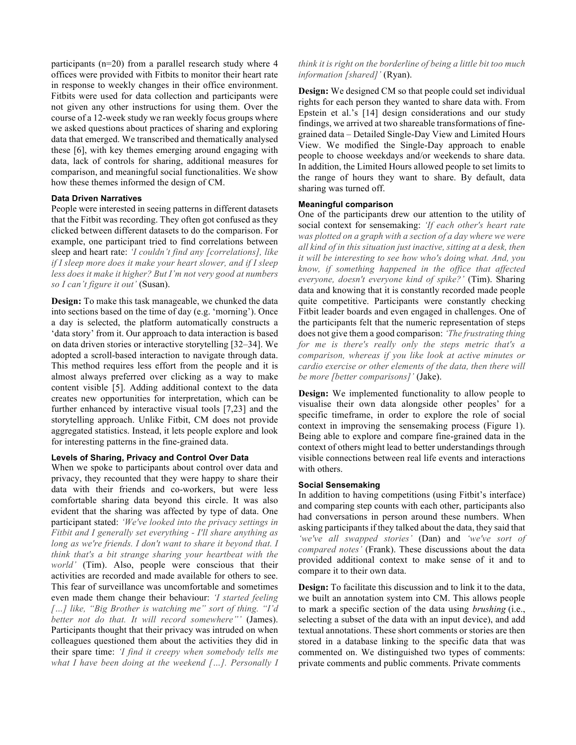participants (n=20) from a parallel research study where 4 offices were provided with Fitbits to monitor their heart rate in response to weekly changes in their office environment. Fitbits were used for data collection and participants were not given any other instructions for using them. Over the course of a 12-week study we ran weekly focus groups where we asked questions about practices of sharing and exploring data that emerged. We transcribed and thematically analysed these [6], with key themes emerging around engaging with data, lack of controls for sharing, additional measures for comparison, and meaningful social functionalities. We show how these themes informed the design of CM.

# **Data Driven Narratives**

People were interested in seeing patterns in different datasets that the Fitbit was recording. They often got confused as they clicked between different datasets to do the comparison. For example, one participant tried to find correlations between sleep and heart rate: *'I couldn't find any [correlations], like if I sleep more does it make your heart slower, and if I sleep less does it make it higher? But I'm not very good at numbers so I can't figure it out'* (Susan).

**Design:** To make this task manageable, we chunked the data into sections based on the time of day (e.g. 'morning'). Once a day is selected, the platform automatically constructs a 'data story' from it. Our approach to data interaction is based on data driven stories or interactive storytelling [32–34]. We adopted a scroll-based interaction to navigate through data. This method requires less effort from the people and it is almost always preferred over clicking as a way to make content visible [5]. Adding additional context to the data creates new opportunities for interpretation, which can be further enhanced by interactive visual tools [7,23] and the storytelling approach. Unlike Fitbit, CM does not provide aggregated statistics. Instead, it lets people explore and look for interesting patterns in the fine-grained data.

# **Levels of Sharing, Privacy and Control Over Data**

When we spoke to participants about control over data and privacy, they recounted that they were happy to share their data with their friends and co-workers, but were less comfortable sharing data beyond this circle. It was also evident that the sharing was affected by type of data. One participant stated: *'We've looked into the privacy settings in Fitbit and I generally set everything - I'll share anything as long as we're friends. I don't want to share it beyond that. I think that's a bit strange sharing your heartbeat with the world'* (Tim). Also, people were conscious that their activities are recorded and made available for others to see. This fear of surveillance was uncomfortable and sometimes even made them change their behaviour: *'I started feeling […] like, "Big Brother is watching me" sort of thing. "I'd better not do that. It will record somewhere"'* (James). Participants thought that their privacy was intruded on when colleagues questioned them about the activities they did in their spare time: *'I find it creepy when somebody tells me what I have been doing at the weekend […]. Personally I* 

# *think it is right on the borderline of being a little bit too much information [shared]'* (Ryan).

**Design:** We designed CM so that people could set individual rights for each person they wanted to share data with. From Epstein et al.'s [14] design considerations and our study findings, we arrived at two shareable transformations of finegrained data – Detailed Single-Day View and Limited Hours View. We modified the Single-Day approach to enable people to choose weekdays and/or weekends to share data. In addition, the Limited Hours allowed people to set limits to the range of hours they want to share. By default, data sharing was turned off.

# **Meaningful comparison**

One of the participants drew our attention to the utility of social context for sensemaking: *'If each other's heart rate was plotted on a graph with a section of a day where we were all kind of in this situation just inactive, sitting at a desk, then it will be interesting to see how who's doing what. And, you know, if something happened in the office that affected everyone, doesn't everyone kind of spike?'* (Tim). Sharing data and knowing that it is constantly recorded made people quite competitive. Participants were constantly checking Fitbit leader boards and even engaged in challenges. One of the participants felt that the numeric representation of steps does not give them a good comparison: *'The frustrating thing for me is there's really only the steps metric that's a comparison, whereas if you like look at active minutes or cardio exercise or other elements of the data, then there will be more [better comparisons]'* (Jake).

**Design:** We implemented functionality to allow people to visualise their own data alongside other peoples' for a specific timeframe, in order to explore the role of social context in improving the sensemaking process (Figure 1). Being able to explore and compare fine-grained data in the context of others might lead to better understandings through visible connections between real life events and interactions with others.

# **Social Sensemaking**

In addition to having competitions (using Fitbit's interface) and comparing step counts with each other, participants also had conversations in person around these numbers. When asking participants if they talked about the data, they said that *'we've all swapped stories'* (Dan) and *'we've sort of compared notes'* (Frank). These discussions about the data provided additional context to make sense of it and to compare it to their own data.

**Design:** To facilitate this discussion and to link it to the data, we built an annotation system into CM. This allows people to mark a specific section of the data using *brushing* (i.e., selecting a subset of the data with an input device), and add textual annotations. These short comments or stories are then stored in a database linking to the specific data that was commented on. We distinguished two types of comments: private comments and public comments. Private comments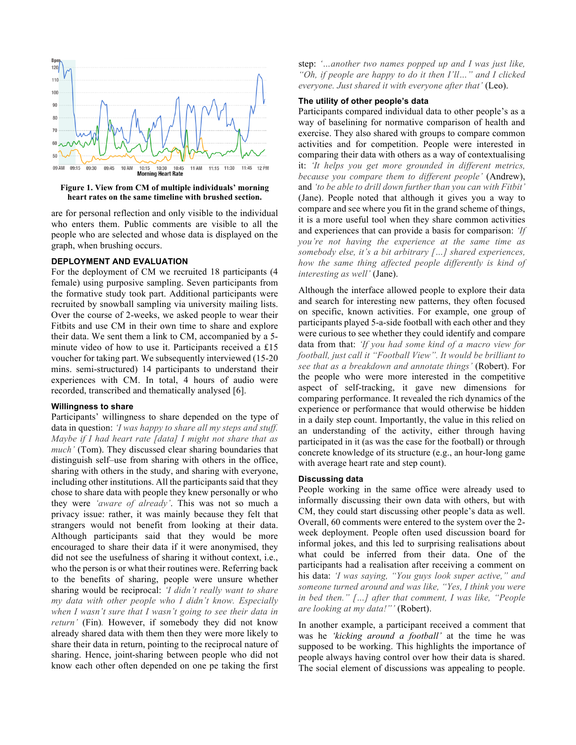

**Figure 1. View from CM of multiple individuals' morning heart rates on the same timeline with brushed section.**

are for personal reflection and only visible to the individual who enters them. Public comments are visible to all the people who are selected and whose data is displayed on the graph, when brushing occurs.

# **DEPLOYMENT AND EVALUATION**

For the deployment of CM we recruited 18 participants (4 female) using purposive sampling. Seven participants from the formative study took part. Additional participants were recruited by snowball sampling via university mailing lists. Over the course of 2-weeks, we asked people to wear their Fitbits and use CM in their own time to share and explore their data. We sent them a link to CM, accompanied by a 5 minute video of how to use it. Participants received a £15 voucher for taking part. We subsequently interviewed (15-20 mins. semi-structured) 14 participants to understand their experiences with CM. In total, 4 hours of audio were recorded, transcribed and thematically analysed [6].

#### **Willingness to share**

Participants' willingness to share depended on the type of data in question: *'I was happy to share all my steps and stuff. Maybe if I had heart rate [data] I might not share that as much'* (Tom). They discussed clear sharing boundaries that distinguish self–use from sharing with others in the office, sharing with others in the study, and sharing with everyone, including other institutions. All the participants said that they chose to share data with people they knew personally or who they were *'aware of already'*. This was not so much a privacy issue: rather, it was mainly because they felt that strangers would not benefit from looking at their data. Although participants said that they would be more encouraged to share their data if it were anonymised, they did not see the usefulness of sharing it without context, i.e., who the person is or what their routines were. Referring back to the benefits of sharing, people were unsure whether sharing would be reciprocal: *'I didn't really want to share my data with other people who I didn't know. Especially when I wasn't sure that I wasn't going to see their data in return'* (Fin)*.* However, if somebody they did not know already shared data with them then they were more likely to share their data in return, pointing to the reciprocal nature of sharing. Hence, joint-sharing between people who did not know each other often depended on one pe taking the first

step: *'…another two names popped up and I was just like, "Oh, if people are happy to do it then I'll…" and I clicked everyone. Just shared it with everyone after that'* (Leo).

# **The utility of other people's data**

Participants compared individual data to other people's as a way of baselining for normative comparison of health and exercise. They also shared with groups to compare common activities and for competition. People were interested in comparing their data with others as a way of contextualising it: *'It helps you get more grounded in different metrics, because you compare them to different people'* (Andrew), and *'to be able to drill down further than you can with Fitbit'*  (Jane). People noted that although it gives you a way to compare and see where you fit in the grand scheme of things, it is a more useful tool when they share common activities and experiences that can provide a basis for comparison: *'If you're not having the experience at the same time as somebody else, it's a bit arbitrary […] shared experiences, how the same thing affected people differently is kind of interesting as well'* (Jane).

Although the interface allowed people to explore their data and search for interesting new patterns, they often focused on specific, known activities. For example, one group of participants played 5-a-side football with each other and they were curious to see whether they could identify and compare data from that: *'If you had some kind of a macro view for football, just call it "Football View". It would be brilliant to see that as a breakdown and annotate things'* (Robert). For the people who were more interested in the competitive aspect of self-tracking, it gave new dimensions for comparing performance. It revealed the rich dynamics of the experience or performance that would otherwise be hidden in a daily step count. Importantly, the value in this relied on an understanding of the activity, either through having participated in it (as was the case for the football) or through concrete knowledge of its structure (e.g., an hour-long game with average heart rate and step count).

### **Discussing data**

People working in the same office were already used to informally discussing their own data with others, but with CM, they could start discussing other people's data as well. Overall, 60 comments were entered to the system over the 2 week deployment. People often used discussion board for informal jokes, and this led to surprising realisations about what could be inferred from their data. One of the participants had a realisation after receiving a comment on his data: *'I was saying, "You guys look super active," and someone turned around and was like, "Yes, I think you were in bed then." […] after that comment, I was like, "People are looking at my data!"'* (Robert).

In another example, a participant received a comment that was he *'kicking around a football'* at the time he was supposed to be working. This highlights the importance of people always having control over how their data is shared. The social element of discussions was appealing to people.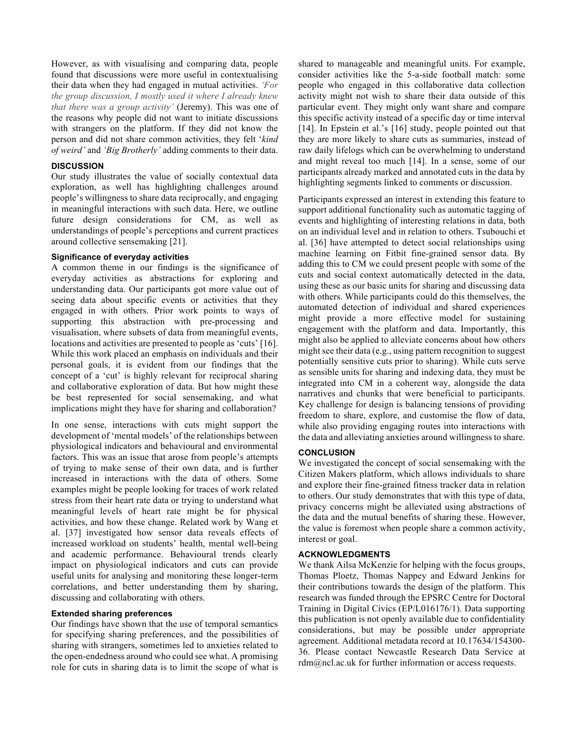However, as with visualising and comparing data, people found that discussions were more useful in contextualising their data when they had engaged in mutual activities. *'For the group discussion, I mostly used it where I already knew that there was a group activity'* (Jeremy). This was one of the reasons why people did not want to initiate discussions with strangers on the platform. If they did not know the person and did not share common activities, they felt '*kind of weird'* and *'Big Brotherly'* adding comments to their data.

# **DISCUSSION**

Our study illustrates the value of socially contextual data exploration, as well has highlighting challenges around people's willingness to share data reciprocally, and engaging in meaningful interactions with such data. Here, we outline future design considerations for CM, as well as understandings of people's perceptions and current practices around collective sensemaking [21].

### **Significance of everyday activities**

A common theme in our findings is the significance of everyday activities as abstractions for exploring and understanding data. Our participants got more value out of seeing data about specific events or activities that they engaged in with others. Prior work points to ways of supporting this abstraction with pre-processing and visualisation, where subsets of data from meaningful events, locations and activities are presented to people as 'cuts' [16]. While this work placed an emphasis on individuals and their personal goals, it is evident from our findings that the concept of a 'cut' is highly relevant for reciprocal sharing and collaborative exploration of data. But how might these be best represented for social sensemaking, and what implications might they have for sharing and collaboration?

In one sense, interactions with cuts might support the development of 'mental models' of the relationships between physiological indicators and behavioural and environmental factors. This was an issue that arose from people's attempts of trying to make sense of their own data, and is further increased in interactions with the data of others. Some examples might be people looking for traces of work related stress from their heart rate data or trying to understand what meaningful levels of heart rate might be for physical activities, and how these change. Related work by Wang et al. [37] investigated how sensor data reveals effects of increased workload on students' health, mental well-being and academic performance. Behavioural trends clearly impact on physiological indicators and cuts can provide useful units for analysing and monitoring these longer-term correlations, and better understanding them by sharing, discussing and collaborating with others.

#### **Extended sharing preferences**

Our findings have shown that the use of temporal semantics for specifying sharing preferences, and the possibilities of sharing with strangers, sometimes led to anxieties related to the open-endedness around who could see what. A promising role for cuts in sharing data is to limit the scope of what is shared to manageable and meaningful units. For example, consider activities like the 5-a-side football match: some people who engaged in this collaborative data collection activity might not wish to share their data outside of this particular event. They might only want share and compare this specific activity instead of a specific day or time interval [14]. In Epstein et al.'s [16] study, people pointed out that they are more likely to share cuts as summaries, instead of raw daily lifelogs which can be overwhelming to understand and might reveal too much [14]. In a sense, some of our participants already marked and annotated cuts in the data by highlighting segments linked to comments or discussion.

Participants expressed an interest in extending this feature to support additional functionality such as automatic tagging of events and highlighting of interesting relations in data, both on an individual level and in relation to others. Tsubouchi et al. [36] have attempted to detect social relationships using machine learning on Fitbit fine-grained sensor data. By adding this to CM we could present people with some of the cuts and social context automatically detected in the data, using these as our basic units for sharing and discussing data with others. While participants could do this themselves, the automated detection of individual and shared experiences might provide a more effective model for sustaining engagement with the platform and data. Importantly, this might also be applied to alleviate concerns about how others might see their data (e.g., using pattern recognition to suggest potentially sensitive cuts prior to sharing). While cuts serve as sensible units for sharing and indexing data, they must be integrated into CM in a coherent way, alongside the data narratives and chunks that were beneficial to participants. Key challenge for design is balancing tensions of providing freedom to share, explore, and customise the flow of data, while also providing engaging routes into interactions with the data and alleviating anxieties around willingness to share.

### **CONCLUSION**

We investigated the concept of social sensemaking with the Citizen Makers platform, which allows individuals to share and explore their fine-grained fitness tracker data in relation to others. Our study demonstrates that with this type of data, privacy concerns might be alleviated using abstractions of the data and the mutual benefits of sharing these. However, the value is foremost when people share a common activity, interest or goal.

# **ACKNOWLEDGMENTS**

We thank Ailsa McKenzie for helping with the focus groups, Thomas Ploetz, Thomas Nappey and Edward Jenkins for their contributions towards the design of the platform. This research was funded through the EPSRC Centre for Doctoral Training in Digital Civics (EP/L016176/1). Data supporting this publication is not openly available due to confidentiality considerations, but may be possible under appropriate agreement. Additional metadata record at 10.17634/154300- 36. Please contact Newcastle Research Data Service at rdm@ncl.ac.uk for further information or access requests.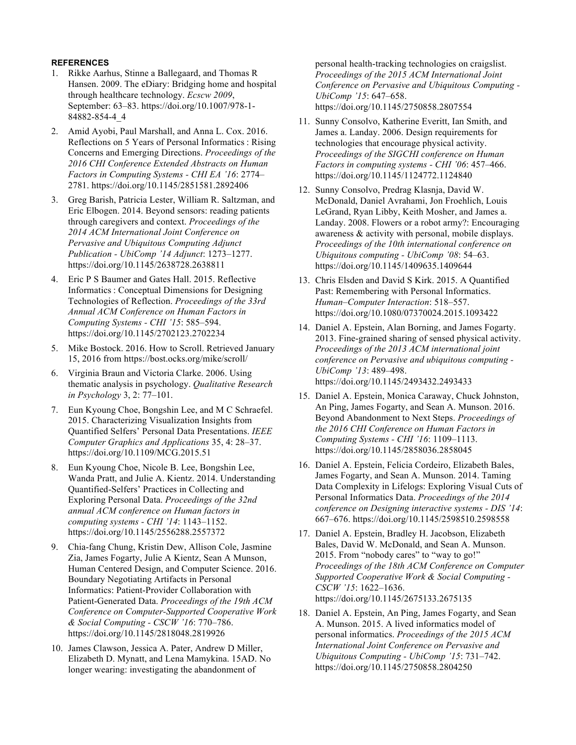# **REFERENCES**

- 1. Rikke Aarhus, Stinne a Ballegaard, and Thomas R Hansen. 2009. The eDiary: Bridging home and hospital through healthcare technology. *Ecscw 2009*, September: 63–83. https://doi.org/10.1007/978-1- 84882-854-4\_4
- 2. Amid Ayobi, Paul Marshall, and Anna L. Cox. 2016. Reflections on 5 Years of Personal Informatics : Rising Concerns and Emerging Directions. *Proceedings of the 2016 CHI Conference Extended Abstracts on Human Factors in Computing Systems - CHI EA '16*: 2774– 2781. https://doi.org/10.1145/2851581.2892406
- 3. Greg Barish, Patricia Lester, William R. Saltzman, and Eric Elbogen. 2014. Beyond sensors: reading patients through caregivers and context. *Proceedings of the 2014 ACM International Joint Conference on Pervasive and Ubiquitous Computing Adjunct Publication - UbiComp '14 Adjunct*: 1273–1277. https://doi.org/10.1145/2638728.2638811
- 4. Eric P S Baumer and Gates Hall. 2015. Reflective Informatics : Conceptual Dimensions for Designing Technologies of Reflection. *Proceedings of the 33rd Annual ACM Conference on Human Factors in Computing Systems - CHI '15*: 585–594. https://doi.org/10.1145/2702123.2702234
- 5. Mike Bostock. 2016. How to Scroll. Retrieved January 15, 2016 from https://bost.ocks.org/mike/scroll/
- 6. Virginia Braun and Victoria Clarke. 2006. Using thematic analysis in psychology. *Qualitative Research in Psychology* 3, 2: 77–101.
- 7. Eun Kyoung Choe, Bongshin Lee, and M C Schraefel. 2015. Characterizing Visualization Insights from Quantified Selfers' Personal Data Presentations. *IEEE Computer Graphics and Applications* 35, 4: 28–37. https://doi.org/10.1109/MCG.2015.51
- 8. Eun Kyoung Choe, Nicole B. Lee, Bongshin Lee, Wanda Pratt, and Julie A. Kientz. 2014. Understanding Quantified-Selfers' Practices in Collecting and Exploring Personal Data. *Proceedings of the 32nd annual ACM conference on Human factors in computing systems - CHI '14*: 1143–1152. https://doi.org/10.1145/2556288.2557372
- 9. Chia-fang Chung, Kristin Dew, Allison Cole, Jasmine Zia, James Fogarty, Julie A Kientz, Sean A Munson, Human Centered Design, and Computer Science. 2016. Boundary Negotiating Artifacts in Personal Informatics: Patient-Provider Collaboration with Patient-Generated Data. *Proceedings of the 19th ACM Conference on Computer-Supported Cooperative Work & Social Computing - CSCW '16*: 770–786. https://doi.org/10.1145/2818048.2819926
- 10. James Clawson, Jessica A. Pater, Andrew D Miller, Elizabeth D. Mynatt, and Lena Mamykina. 15AD. No longer wearing: investigating the abandonment of

personal health-tracking technologies on craigslist. *Proceedings of the 2015 ACM International Joint Conference on Pervasive and Ubiquitous Computing - UbiComp '15*: 647–658. https://doi.org/10.1145/2750858.2807554

- 11. Sunny Consolvo, Katherine Everitt, Ian Smith, and James a. Landay. 2006. Design requirements for technologies that encourage physical activity. *Proceedings of the SIGCHI conference on Human Factors in computing systems - CHI '06*: 457–466. https://doi.org/10.1145/1124772.1124840
- 12. Sunny Consolvo, Predrag Klasnja, David W. McDonald, Daniel Avrahami, Jon Froehlich, Louis LeGrand, Ryan Libby, Keith Mosher, and James a. Landay. 2008. Flowers or a robot army?: Encouraging awareness & activity with personal, mobile displays. *Proceedings of the 10th international conference on Ubiquitous computing - UbiComp '08*: 54–63. https://doi.org/10.1145/1409635.1409644
- 13. Chris Elsden and David S Kirk. 2015. A Quantified Past: Remembering with Personal Informatics. *Human–Computer Interaction*: 518–557. https://doi.org/10.1080/07370024.2015.1093422
- 14. Daniel A. Epstein, Alan Borning, and James Fogarty. 2013. Fine-grained sharing of sensed physical activity. *Proceedings of the 2013 ACM international joint conference on Pervasive and ubiquitous computing - UbiComp '13*: 489–498. https://doi.org/10.1145/2493432.2493433
- 15. Daniel A. Epstein, Monica Caraway, Chuck Johnston, An Ping, James Fogarty, and Sean A. Munson. 2016. Beyond Abandonment to Next Steps. *Proceedings of the 2016 CHI Conference on Human Factors in Computing Systems - CHI '16*: 1109–1113. https://doi.org/10.1145/2858036.2858045
- 16. Daniel A. Epstein, Felicia Cordeiro, Elizabeth Bales, James Fogarty, and Sean A. Munson. 2014. Taming Data Complexity in Lifelogs: Exploring Visual Cuts of Personal Informatics Data. *Proceedings of the 2014 conference on Designing interactive systems - DIS '14*: 667–676. https://doi.org/10.1145/2598510.2598558
- 17. Daniel A. Epstein, Bradley H. Jacobson, Elizabeth Bales, David W. McDonald, and Sean A. Munson. 2015. From "nobody cares" to "way to go!" *Proceedings of the 18th ACM Conference on Computer Supported Cooperative Work & Social Computing - CSCW '15*: 1622–1636. https://doi.org/10.1145/2675133.2675135
- 18. Daniel A. Epstein, An Ping, James Fogarty, and Sean A. Munson. 2015. A lived informatics model of personal informatics. *Proceedings of the 2015 ACM International Joint Conference on Pervasive and Ubiquitous Computing - UbiComp '15*: 731–742. https://doi.org/10.1145/2750858.2804250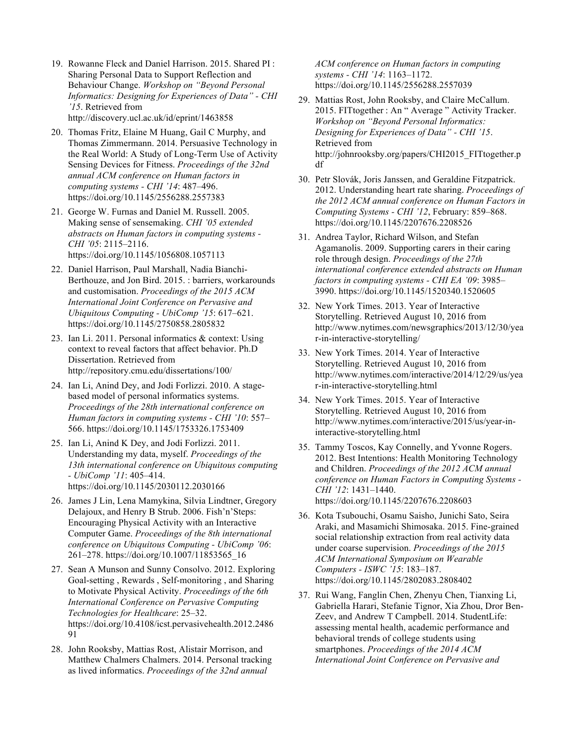- 19. Rowanne Fleck and Daniel Harrison. 2015. Shared PI : Sharing Personal Data to Support Reflection and Behaviour Change. *Workshop on "Beyond Personal Informatics: Designing for Experiences of Data" - CHI '15*. Retrieved from http://discovery.ucl.ac.uk/id/eprint/1463858
- 20. Thomas Fritz, Elaine M Huang, Gail C Murphy, and Thomas Zimmermann. 2014. Persuasive Technology in the Real World: A Study of Long-Term Use of Activity Sensing Devices for Fitness. *Proceedings of the 32nd annual ACM conference on Human factors in computing systems - CHI '14*: 487–496. https://doi.org/10.1145/2556288.2557383
- 21. George W. Furnas and Daniel M. Russell. 2005. Making sense of sensemaking. *CHI '05 extended abstracts on Human factors in computing systems - CHI '05*: 2115–2116. https://doi.org/10.1145/1056808.1057113
- 22. Daniel Harrison, Paul Marshall, Nadia Bianchi-Berthouze, and Jon Bird. 2015. : barriers, workarounds and customisation. *Proceedings of the 2015 ACM International Joint Conference on Pervasive and Ubiquitous Computing - UbiComp '15*: 617–621. https://doi.org/10.1145/2750858.2805832
- 23. Ian Li. 2011. Personal informatics & context: Using context to reveal factors that affect behavior. Ph.D Dissertation. Retrieved from http://repository.cmu.edu/dissertations/100/
- 24. Ian Li, Anind Dey, and Jodi Forlizzi. 2010. A stagebased model of personal informatics systems. *Proceedings of the 28th international conference on Human factors in computing systems - CHI '10*: 557– 566. https://doi.org/10.1145/1753326.1753409
- 25. Ian Li, Anind K Dey, and Jodi Forlizzi. 2011. Understanding my data, myself. *Proceedings of the 13th international conference on Ubiquitous computing - UbiComp '11*: 405–414. https://doi.org/10.1145/2030112.2030166
- 26. James J Lin, Lena Mamykina, Silvia Lindtner, Gregory Delajoux, and Henry B Strub. 2006. Fish'n'Steps: Encouraging Physical Activity with an Interactive Computer Game. *Proceedings of the 8th international conference on Ubiquitous Computing - UbiComp '06*: 261–278. https://doi.org/10.1007/11853565\_16
- 27. Sean A Munson and Sunny Consolvo. 2012. Exploring Goal-setting , Rewards , Self-monitoring , and Sharing to Motivate Physical Activity. *Proceedings of the 6th International Conference on Pervasive Computing Technologies for Healthcare*: 25–32. https://doi.org/10.4108/icst.pervasivehealth.2012.2486 91
- 28. John Rooksby, Mattias Rost, Alistair Morrison, and Matthew Chalmers Chalmers. 2014. Personal tracking as lived informatics. *Proceedings of the 32nd annual*

*ACM conference on Human factors in computing systems - CHI '14*: 1163–1172. https://doi.org/10.1145/2556288.2557039

- 29. Mattias Rost, John Rooksby, and Claire McCallum. 2015. FITtogether : An " Average " Activity Tracker. *Workshop on "Beyond Personal Informatics: Designing for Experiences of Data" - CHI '15*. Retrieved from http://johnrooksby.org/papers/CHI2015\_FITtogether.p df
- 30. Petr Slovák, Joris Janssen, and Geraldine Fitzpatrick. 2012. Understanding heart rate sharing. *Proceedings of the 2012 ACM annual conference on Human Factors in Computing Systems - CHI '12*, February: 859–868. https://doi.org/10.1145/2207676.2208526
- 31. Andrea Taylor, Richard Wilson, and Stefan Agamanolis. 2009. Supporting carers in their caring role through design. *Proceedings of the 27th international conference extended abstracts on Human factors in computing systems - CHI EA '09*: 3985– 3990. https://doi.org/10.1145/1520340.1520605
- 32. New York Times. 2013. Year of Interactive Storytelling. Retrieved August 10, 2016 from http://www.nytimes.com/newsgraphics/2013/12/30/yea r-in-interactive-storytelling/
- 33. New York Times. 2014. Year of Interactive Storytelling. Retrieved August 10, 2016 from http://www.nytimes.com/interactive/2014/12/29/us/yea r-in-interactive-storytelling.html
- 34. New York Times. 2015. Year of Interactive Storytelling. Retrieved August 10, 2016 from http://www.nytimes.com/interactive/2015/us/year-ininteractive-storytelling.html
- 35. Tammy Toscos, Kay Connelly, and Yvonne Rogers. 2012. Best Intentions: Health Monitoring Technology and Children. *Proceedings of the 2012 ACM annual conference on Human Factors in Computing Systems - CHI '12*: 1431–1440. https://doi.org/10.1145/2207676.2208603
- 36. Kota Tsubouchi, Osamu Saisho, Junichi Sato, Seira Araki, and Masamichi Shimosaka. 2015. Fine-grained social relationship extraction from real activity data under coarse supervision. *Proceedings of the 2015 ACM International Symposium on Wearable Computers - ISWC '15*: 183–187. https://doi.org/10.1145/2802083.2808402
- 37. Rui Wang, Fanglin Chen, Zhenyu Chen, Tianxing Li, Gabriella Harari, Stefanie Tignor, Xia Zhou, Dror Ben-Zeev, and Andrew T Campbell. 2014. StudentLife: assessing mental health, academic performance and behavioral trends of college students using smartphones. *Proceedings of the 2014 ACM International Joint Conference on Pervasive and*